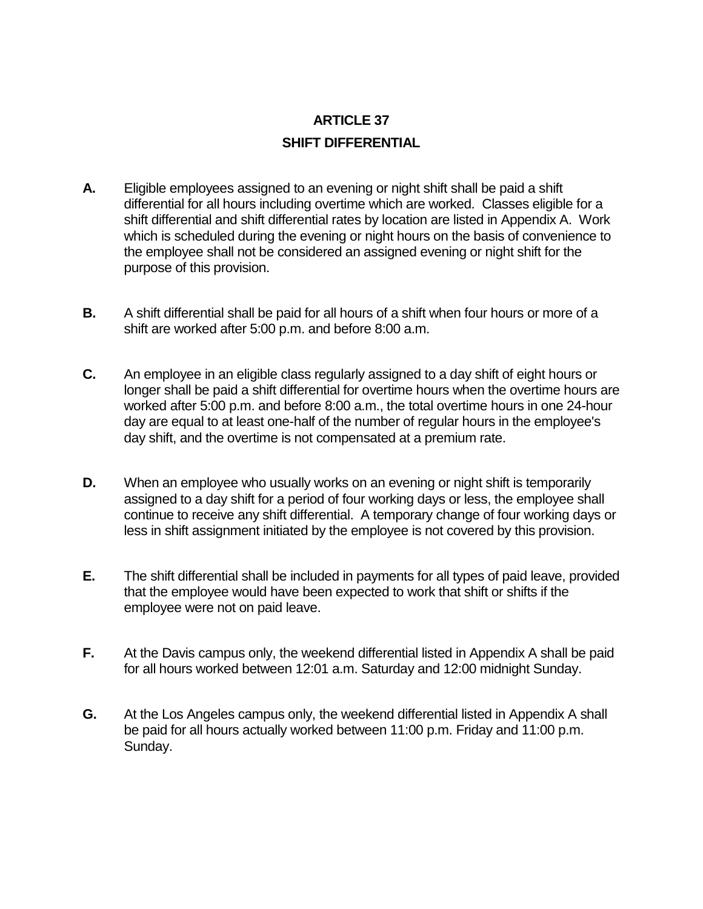## **ARTICLE 37 SHIFT DIFFERENTIAL**

- **A.** Eligible employees assigned to an evening or night shift shall be paid a shift differential for all hours including overtime which are worked. Classes eligible for a shift differential and shift differential rates by location are listed in Appendix A. Work which is scheduled during the evening or night hours on the basis of convenience to the employee shall not be considered an assigned evening or night shift for the purpose of this provision.
- **B.** A shift differential shall be paid for all hours of a shift when four hours or more of a shift are worked after 5:00 p.m. and before 8:00 a.m.
- **C.** An employee in an eligible class regularly assigned to a day shift of eight hours or longer shall be paid a shift differential for overtime hours when the overtime hours are worked after 5:00 p.m. and before 8:00 a.m., the total overtime hours in one 24-hour day are equal to at least one-half of the number of regular hours in the employee's day shift, and the overtime is not compensated at a premium rate.
- **D.** When an employee who usually works on an evening or night shift is temporarily assigned to a day shift for a period of four working days or less, the employee shall continue to receive any shift differential. A temporary change of four working days or less in shift assignment initiated by the employee is not covered by this provision.
- **E.** The shift differential shall be included in payments for all types of paid leave, provided that the employee would have been expected to work that shift or shifts if the employee were not on paid leave.
- **F.** At the Davis campus only, the weekend differential listed in Appendix A shall be paid for all hours worked between 12:01 a.m. Saturday and 12:00 midnight Sunday.
- **G.** At the Los Angeles campus only, the weekend differential listed in Appendix A shall be paid for all hours actually worked between 11:00 p.m. Friday and 11:00 p.m. Sunday.